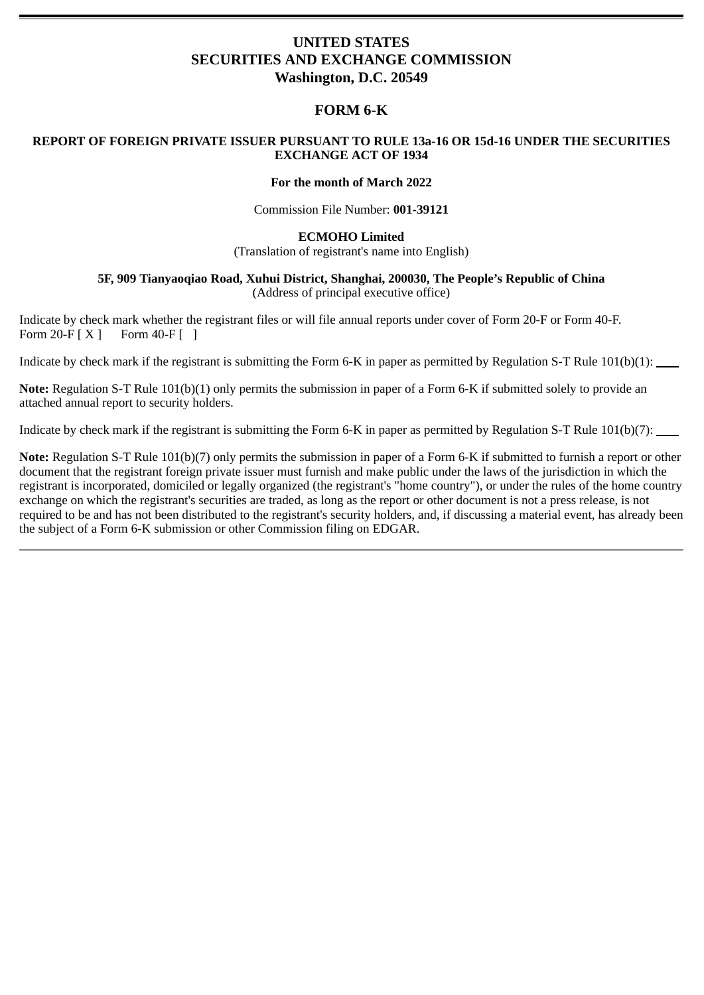# **UNITED STATES SECURITIES AND EXCHANGE COMMISSION Washington, D.C. 20549**

## **FORM 6-K**

### **REPORT OF FOREIGN PRIVATE ISSUER PURSUANT TO RULE 13a-16 OR 15d-16 UNDER THE SECURITIES EXCHANGE ACT OF 1934**

#### **For the month of March 2022**

Commission File Number: **001-39121**

#### **ECMOHO Limited**

(Translation of registrant's name into English)

#### **5F, 909 Tianyaoqiao Road, Xuhui District, Shanghai, 200030, The People's Republic of China** (Address of principal executive office)

Indicate by check mark whether the registrant files or will file annual reports under cover of Form 20-F or Form 40-F. Form  $20-F[X]$  Form  $40-F$  [ ]

Indicate by check mark if the registrant is submitting the Form 6-K in paper as permitted by Regulation S-T Rule 101(b)(1):

**Note:** Regulation S-T Rule 101(b)(1) only permits the submission in paper of a Form 6-K if submitted solely to provide an attached annual report to security holders.

Indicate by check mark if the registrant is submitting the Form 6-K in paper as permitted by Regulation S-T Rule 101(b)(7):

**Note:** Regulation S-T Rule 101(b)(7) only permits the submission in paper of a Form 6-K if submitted to furnish a report or other document that the registrant foreign private issuer must furnish and make public under the laws of the jurisdiction in which the registrant is incorporated, domiciled or legally organized (the registrant's "home country"), or under the rules of the home country exchange on which the registrant's securities are traded, as long as the report or other document is not a press release, is not required to be and has not been distributed to the registrant's security holders, and, if discussing a material event, has already been the subject of a Form 6-K submission or other Commission filing on EDGAR.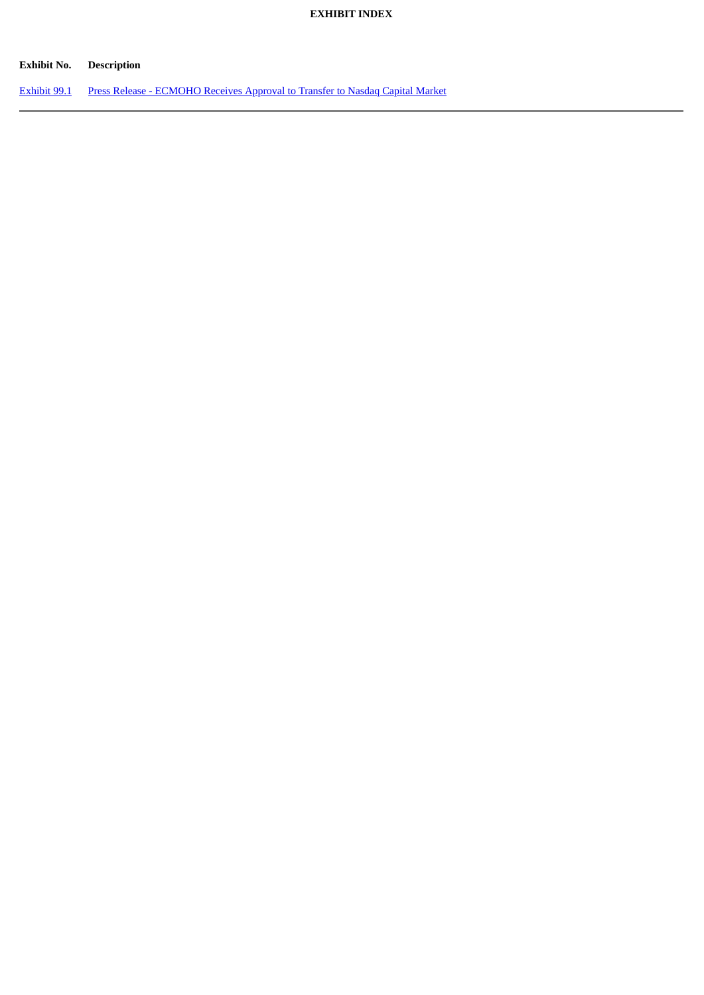#### **EXHIBIT INDEX**

#### **Exhibit No. Description**

[Exhibit](#page-3-0) 99.1 Press Release - [ECMOHO](#page-3-0) Receives Approval to Transfer to Nasdaq Capital Market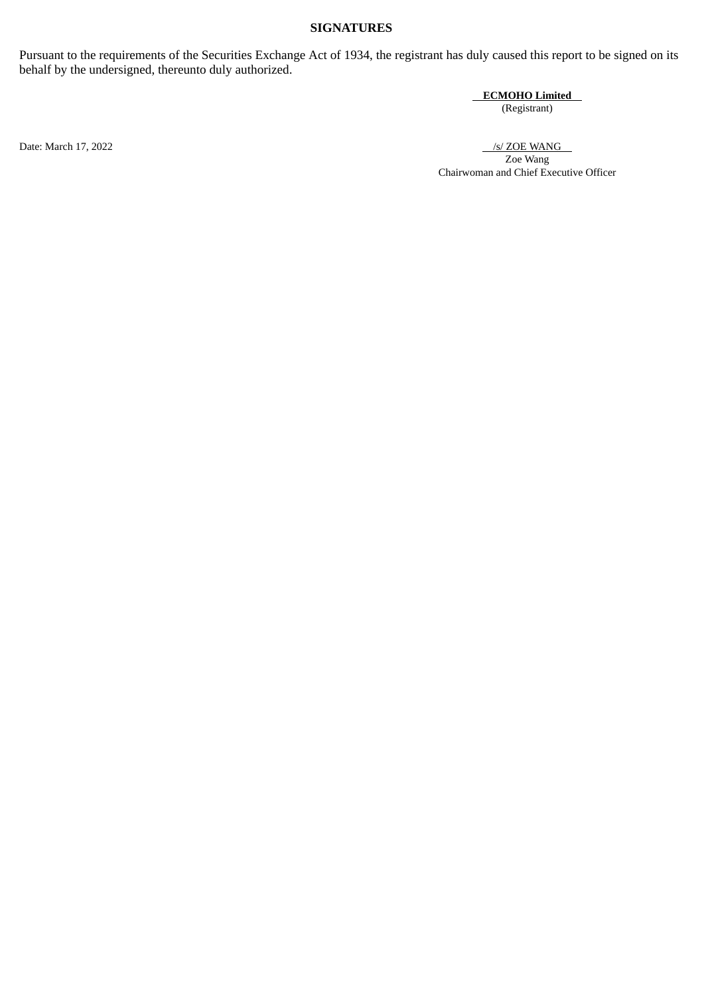### **SIGNATURES**

Pursuant to the requirements of the Securities Exchange Act of 1934, the registrant has duly caused this report to be signed on its behalf by the undersigned, thereunto duly authorized.

**ECMOHO Limited**

(Registrant)

Date: March 17, 2022 /s/ ZOE WANG Zoe Wang Chairwoman and Chief Executive Officer